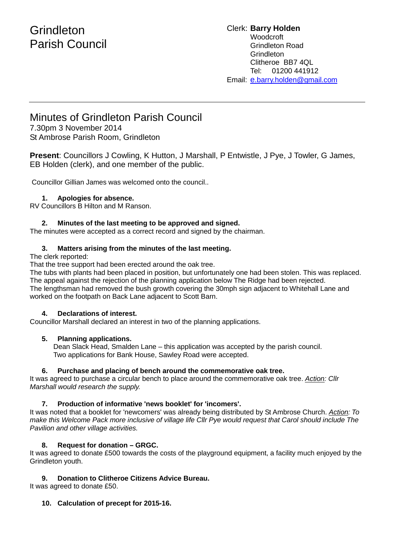# **Grindleton** Parish Council

#### Clerk: **Barry Holden Woodcroft** Grindleton Road **Grindleton** Clitheroe BB7 4QL Tel: 01200 441912 Email: [e.](mailto:edwardbholden@yahoo.co.uk)barry.holden@gmail.com

# Minutes of Grindleton Parish Council

7.30pm 3 November 2014 St Ambrose Parish Room, Grindleton

**Present**: Councillors J Cowling, K Hutton, J Marshall, P Entwistle, J Pye, J Towler, G James, EB Holden (clerk), and one member of the public.

Councillor Gillian James was welcomed onto the council..

# **1. Apologies for absence.**

RV Councillors B Hilton and M Ranson.

# **2. Minutes of the last meeting to be approved and signed.**

The minutes were accepted as a correct record and signed by the chairman.

# **3. Matters arising from the minutes of the last meeting.**

The clerk reported:

That the tree support had been erected around the oak tree.

The tubs with plants had been placed in position, but unfortunately one had been stolen. This was replaced. The appeal against the rejection of the planning application below The Ridge had been rejected. The lengthsman had removed the bush growth covering the 30mph sign adjacent to Whitehall Lane and worked on the footpath on Back Lane adjacent to Scott Barn.

### **4. Declarations of interest.**

Councillor Marshall declared an interest in two of the planning applications.

## **5. Planning applications.**

 Dean Slack Head, Smalden Lane – this application was accepted by the parish council. Two applications for Bank House, Sawley Road were accepted.

### **6. Purchase and placing of bench around the commemorative oak tree.**

It was agreed to purchase a circular bench to place around the commemorative oak tree. *Action: Cllr Marshall would research the supply.*

# **7. Production of informative 'news booklet' for 'incomers'.**

It was noted that a booklet for 'newcomers' was already being distributed by St Ambrose Church. *Action: To make this Welcome Pack more inclusive of village life Cllr Pye would request that Carol should include The Pavilion and other village activities.*

# **8. Request for donation – GRGC.**

It was agreed to donate £500 towards the costs of the playground equipment, a facility much enjoyed by the Grindleton youth.

**9. Donation to Clitheroe Citizens Advice Bureau.**

It was agreed to donate £50.

# **10. Calculation of precept for 2015-16.**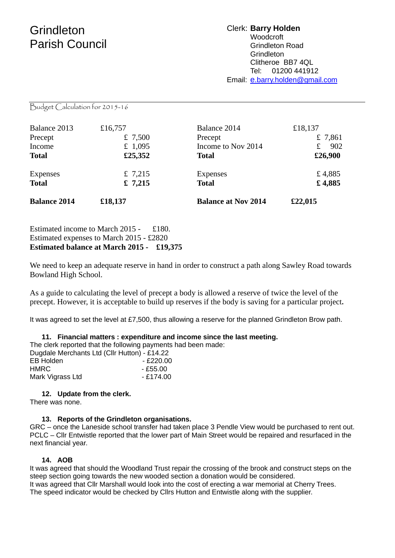# **Grindleton** Parish Council

### Clerk: **Barry Holden Woodcroft** Grindleton Road **Grindleton** Clitheroe BB7 4QL Tel: 01200 441912 Email: [e.](mailto:edwardbholden@yahoo.co.uk)barry.holden@gmail.com

Budget Calculation for 2015-16

| <b>Balance 2014</b> | £18,137 | <b>Balance at Nov 2014</b> | £22,015 |
|---------------------|---------|----------------------------|---------|
| <b>Total</b>        | £ 7,215 | <b>Total</b>               | £4,885  |
| Expenses            | £ 7,215 | Expenses                   | £4,885  |
| <b>Total</b>        | £25,352 | <b>Total</b>               | £26,900 |
| Income              | £ 1,095 | Income to Nov 2014         | 902     |
| Precept             | £ 7,500 | Precept                    | £ 7,861 |
| Balance 2013        | £16,757 | Balance 2014               | £18,137 |

Estimated income to March 2015 - £180. Estimated expenses to March 2015 - £2820 **Estimated balance at March 2015 - £19,375** 

We need to keep an adequate reserve in hand in order to construct a path along Sawley Road towards Bowland High School.

As a guide to calculating the level of precept a body is allowed a reserve of twice the level of the precept. However, it is acceptable to build up reserves if the body is saving for a particular project**.** 

It was agreed to set the level at £7,500, thus allowing a reserve for the planned Grindleton Brow path.

|                                              | 11. Financial matters: expenditure and income since the last meeting. |
|----------------------------------------------|-----------------------------------------------------------------------|
|                                              | The clerk reported that the following payments had been made:         |
| Dugdale Merchants Ltd (Cllr Hutton) - £14.22 |                                                                       |
| <b>EB Holden</b>                             | - £220.00                                                             |
| <b>HMRC</b>                                  | - £55.00                                                              |
| Mark Vigrass Ltd                             | - £174.00                                                             |

### **12. Update from the clerk.**

There was none.

### **13. Reports of the Grindleton organisations.**

GRC – once the Laneside school transfer had taken place 3 Pendle View would be purchased to rent out. PCLC – Cllr Entwistle reported that the lower part of Main Street would be repaired and resurfaced in the next financial year.

### **14. AOB**

It was agreed that should the Woodland Trust repair the crossing of the brook and construct steps on the steep section going towards the new wooded section a donation would be considered. It was agreed that Cllr Marshall would look into the cost of erecting a war memorial at Cherry Trees. The speed indicator would be checked by Cllrs Hutton and Entwistle along with the supplier.